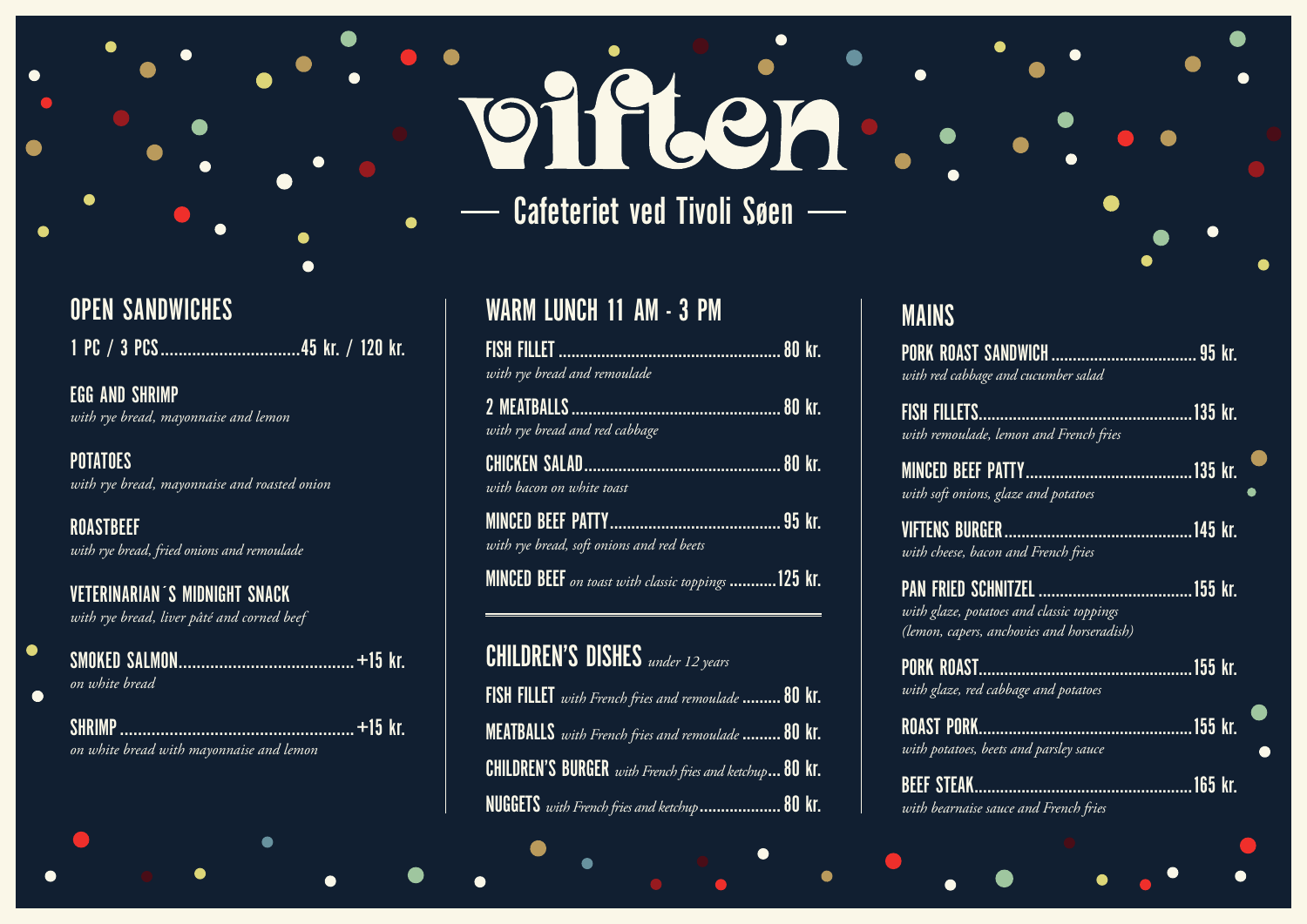# T.COO Cafeteriet ved Tivoli Søen —

#### **OPEN SANDWICHES**

 $\bullet$ 

 $\bullet$ 

**EGG AND SHRIMP** with rye bread, mayonnaise and lemon

**POTATOES** with rye bread, mayonnaise and roasted onion

**ROASTBEEF** with rye bread, fried onions and remoulade

**VETERINARIAN'S MIDNIGHT SNACK** with rye bread, liver pâté and corned beef

 $\bullet$ 

| on white bread                                             |  |
|------------------------------------------------------------|--|
| <b>TSHRIMP</b><br>on white bread with mayonnaise and lemon |  |

## WARM LUNCH 11 AM - 3 PM

| with rye bread and rem <u>oulade</u> |  |
|--------------------------------------|--|

| with rye bread and red cabbage |  |
|--------------------------------|--|

| with bacon on white toast |  |
|---------------------------|--|

| with rye bread, soft onions and red beets |  |
|-------------------------------------------|--|

MINCED BEEF on toast with classic toppings ............125 Kr.

| <b>CHILDREN'S DISHES</b> under 12 years                             |  |
|---------------------------------------------------------------------|--|
| <b>FISH FILLET</b> with French fries and remoulade  80 $\mathsf{k}$ |  |
| MEATBALLS with French fries and remoulade  80 kl                    |  |
| <b>CHILDREN'S BURGER</b> with French fries and ketchup 80 kl        |  |
| <b>NUGGETS</b> with French fries and ketchup  80 $\mathsf{k}$       |  |

### **MAINS**

**PORK ROAST** with red cabbag

**FISH FILLETS...** with remoulade

**MINCED BEEF** with soft onions

**VIFTENS BURG** with cheese, bac

**PAN FRIED SCI** with glaze, pota (lemon, capers,

**PORK ROAST.** with glaze, red

**ROAST PORK.** with potatoes, b

**BEEF STEAK..** with bearnaise



| e and cucumber salad                                    |  |
|---------------------------------------------------------|--|
| , lemon and French fries                                |  |
| , glaze and potatoes                                    |  |
| on and French fries                                     |  |
| toes and classic toppings<br>anchovies and horseradish) |  |
| cabbage and potatoes                                    |  |
| eets and parsley sauce                                  |  |
| sauce and French fries                                  |  |
|                                                         |  |